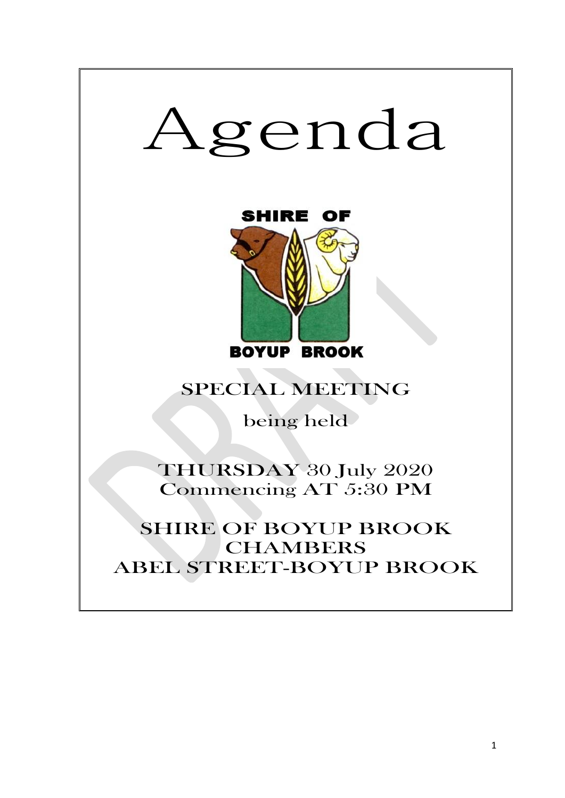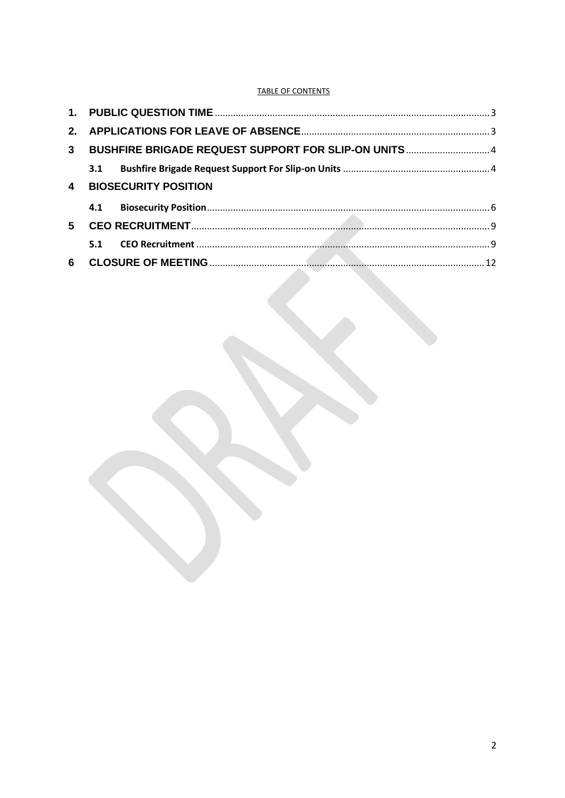# **TABLE OF CONTENTS**

| 3 <sup>1</sup>          | BUSHFIRE BRIGADE REQUEST SUPPORT FOR SLIP-ON UNITS  4 |  |  |
|-------------------------|-------------------------------------------------------|--|--|
|                         |                                                       |  |  |
| $\overline{\mathbf{4}}$ | <b>BIOSECURITY POSITION</b>                           |  |  |
|                         |                                                       |  |  |
| 5                       |                                                       |  |  |
|                         | 5.1                                                   |  |  |
| 6                       |                                                       |  |  |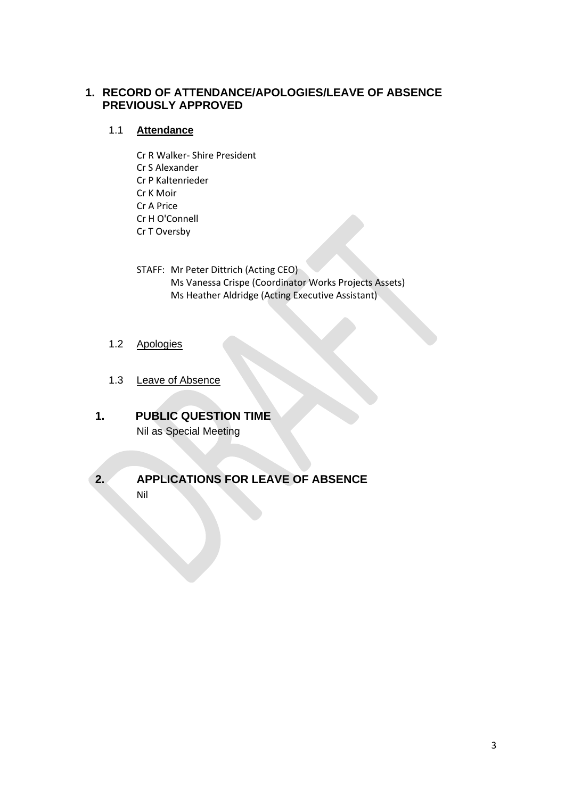# **1. RECORD OF ATTENDANCE/APOLOGIES/LEAVE OF ABSENCE PREVIOUSLY APPROVED**

# 1.1 **Attendance**

- Cr R Walker- Shire President Cr S Alexander Cr P Kaltenrieder Cr K Moir Cr A Price Cr H O'Connell Cr T Oversby
- STAFF: Mr Peter Dittrich (Acting CEO) Ms Vanessa Crispe (Coordinator Works Projects Assets) Ms Heather Aldridge (Acting Executive Assistant)
- 1.2 Apologies
- 1.3 Leave of Absence
- <span id="page-2-0"></span>**1. PUBLIC QUESTION TIME** Nil as Special Meeting
- <span id="page-2-1"></span>

# **2. APPLICATIONS FOR LEAVE OF ABSENCE**

Nil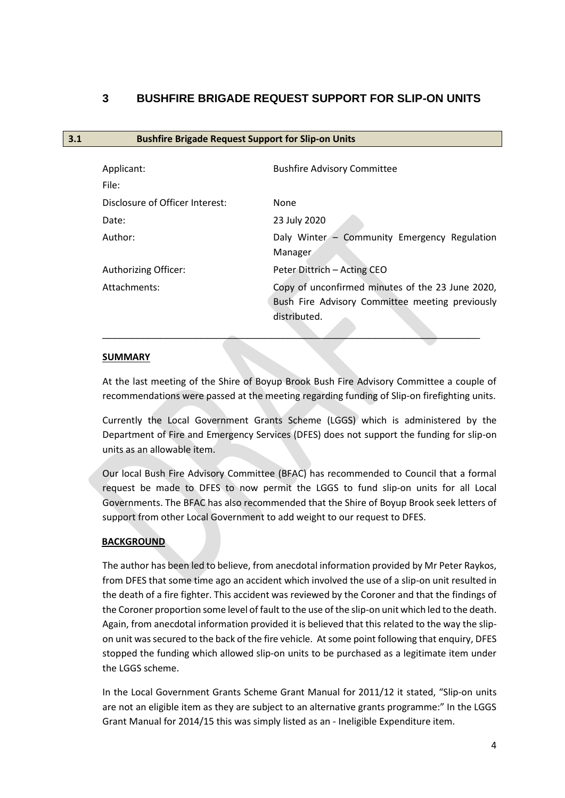# <span id="page-3-0"></span>**3 BUSHFIRE BRIGADE REQUEST SUPPORT FOR SLIP-ON UNITS**

<span id="page-3-1"></span>**3.1 Bushfire Brigade Request Support for Slip-on Units**

# Applicant: Applicant: Bushfire Advisory Committee File: Disclosure of Officer Interest: None Date: 23 July 2020 Author: Daly Winter – Community Emergency Regulation Manager Authorizing Officer: Peter Dittrich – Acting CEO Attachments: Copy of unconfirmed minutes of the 23 June 2020, Bush Fire Advisory Committee meeting previously distributed. \_\_\_\_\_\_\_\_\_\_\_\_\_\_\_\_\_\_\_\_\_\_\_\_\_\_\_\_\_\_\_\_\_\_\_\_\_\_\_\_\_\_\_\_\_\_\_\_\_\_\_\_\_\_\_\_\_\_\_\_\_\_\_\_\_

## **SUMMARY**

At the last meeting of the Shire of Boyup Brook Bush Fire Advisory Committee a couple of recommendations were passed at the meeting regarding funding of Slip-on firefighting units.

Currently the Local Government Grants Scheme (LGGS) which is administered by the Department of Fire and Emergency Services (DFES) does not support the funding for slip-on units as an allowable item.

Our local Bush Fire Advisory Committee (BFAC) has recommended to Council that a formal request be made to DFES to now permit the LGGS to fund slip-on units for all Local Governments. The BFAC has also recommended that the Shire of Boyup Brook seek letters of support from other Local Government to add weight to our request to DFES.

# **BACKGROUND**

The author has been led to believe, from anecdotal information provided by Mr Peter Raykos, from DFES that some time ago an accident which involved the use of a slip-on unit resulted in the death of a fire fighter. This accident was reviewed by the Coroner and that the findings of the Coroner proportion some level of fault to the use of the slip-on unit which led to the death. Again, from anecdotal information provided it is believed that this related to the way the slipon unit was secured to the back of the fire vehicle. At some point following that enquiry, DFES stopped the funding which allowed slip-on units to be purchased as a legitimate item under the LGGS scheme.

In the Local Government Grants Scheme Grant Manual for 2011/12 it stated, "Slip-on units are not an eligible item as they are subject to an alternative grants programme:" In the LGGS Grant Manual for 2014/15 this was simply listed as an - Ineligible Expenditure item.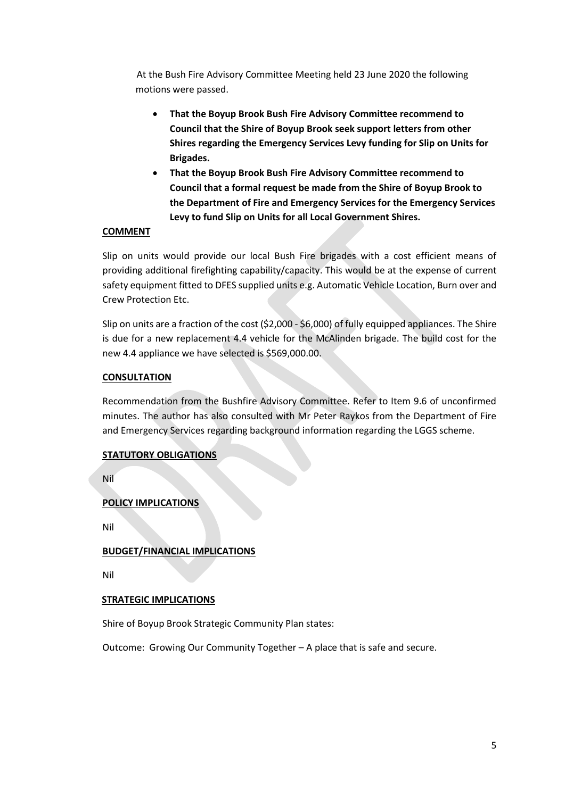At the Bush Fire Advisory Committee Meeting held 23 June 2020 the following motions were passed.

- **That the Boyup Brook Bush Fire Advisory Committee recommend to Council that the Shire of Boyup Brook seek support letters from other Shires regarding the Emergency Services Levy funding for Slip on Units for Brigades.**
- **That the Boyup Brook Bush Fire Advisory Committee recommend to Council that a formal request be made from the Shire of Boyup Brook to the Department of Fire and Emergency Services for the Emergency Services Levy to fund Slip on Units for all Local Government Shires.**

## **COMMENT**

Slip on units would provide our local Bush Fire brigades with a cost efficient means of providing additional firefighting capability/capacity. This would be at the expense of current safety equipment fitted to DFES supplied units e.g. Automatic Vehicle Location, Burn over and Crew Protection Etc.

Slip on units are a fraction of the cost (\$2,000 - \$6,000) of fully equipped appliances. The Shire is due for a new replacement 4.4 vehicle for the McAlinden brigade. The build cost for the new 4.4 appliance we have selected is \$569,000.00.

## **CONSULTATION**

Recommendation from the Bushfire Advisory Committee. Refer to Item 9.6 of unconfirmed minutes. The author has also consulted with Mr Peter Raykos from the Department of Fire and Emergency Services regarding background information regarding the LGGS scheme.

## **STATUTORY OBLIGATIONS**

Nil

# **POLICY IMPLICATIONS**

Nil

## **BUDGET/FINANCIAL IMPLICATIONS**

Nil

## **STRATEGIC IMPLICATIONS**

Shire of Boyup Brook Strategic Community Plan states:

Outcome: Growing Our Community Together – A place that is safe and secure.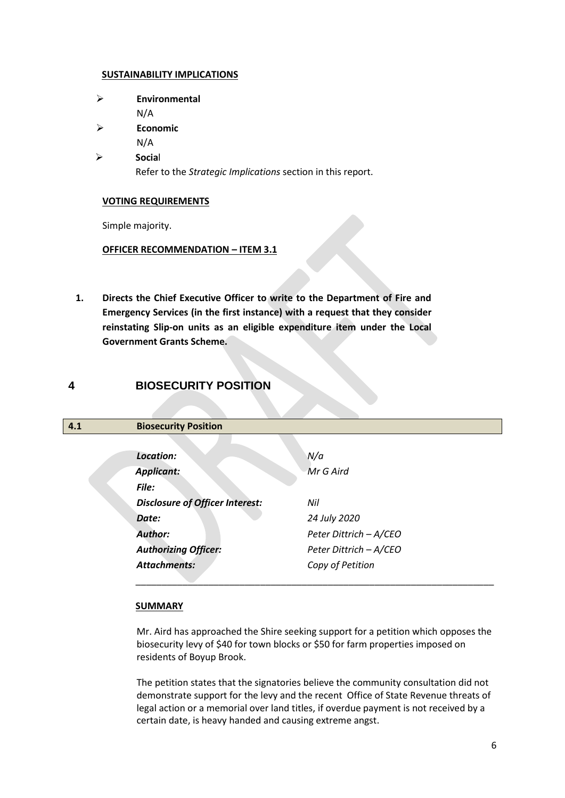#### **SUSTAINABILITY IMPLICATIONS**

- ➢ **Environmental**
- N/A
- ➢ **Economic**

N/A

➢ **Socia**l

Refer to the *Strategic Implications* section in this report.

#### **VOTING REQUIREMENTS**

Simple majority.

## **OFFICER RECOMMENDATION – ITEM 3.1**

**1. Directs the Chief Executive Officer to write to the Department of Fire and Emergency Services (in the first instance) with a request that they consider reinstating Slip-on units as an eligible expenditure item under the Local Government Grants Scheme.** 

# **4 BIOSECURITY POSITION**

<span id="page-5-0"></span>

| 4.1 | <b>Biosecurity Position</b>            |                        |
|-----|----------------------------------------|------------------------|
|     |                                        |                        |
|     | Location:                              | N/a                    |
|     | <b>Applicant:</b>                      | Mr G Aird              |
|     | File:                                  |                        |
|     | <b>Disclosure of Officer Interest:</b> | Nil                    |
|     | Date:                                  | 24 July 2020           |
|     | <b>Author:</b>                         | Peter Dittrich - A/CEO |
|     | <b>Authorizing Officer:</b>            | Peter Dittrich - A/CEO |
|     | <b>Attachments:</b>                    | Copy of Petition       |
|     |                                        |                        |

## **SUMMARY**

Mr. Aird has approached the Shire seeking support for a petition which opposes the biosecurity levy of \$40 for town blocks or \$50 for farm properties imposed on residents of Boyup Brook.

The petition states that the signatories believe the community consultation did not demonstrate support for the levy and the recent Office of State Revenue threats of legal action or a memorial over land titles, if overdue payment is not received by a certain date, is heavy handed and causing extreme angst.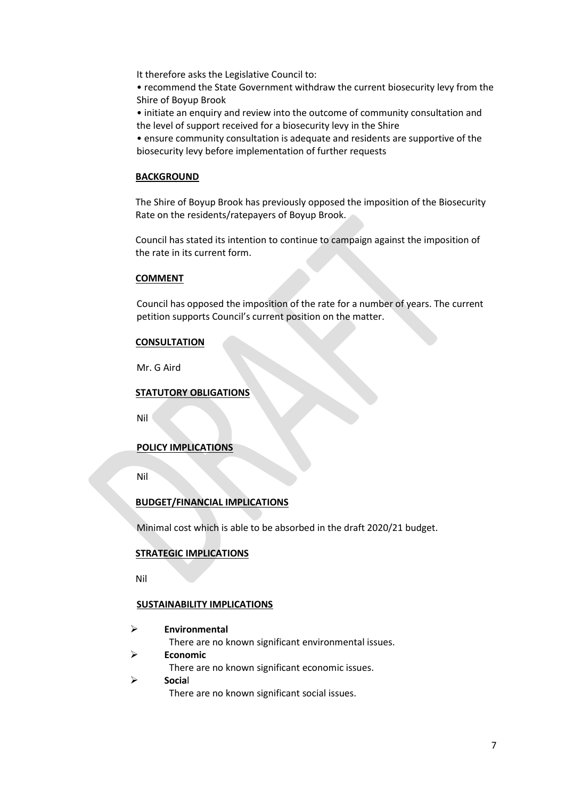It therefore asks the Legislative Council to:

• recommend the State Government withdraw the current biosecurity levy from the Shire of Boyup Brook

• initiate an enquiry and review into the outcome of community consultation and the level of support received for a biosecurity levy in the Shire

• ensure community consultation is adequate and residents are supportive of the biosecurity levy before implementation of further requests

#### **BACKGROUND**

The Shire of Boyup Brook has previously opposed the imposition of the Biosecurity Rate on the residents/ratepayers of Boyup Brook.

Council has stated its intention to continue to campaign against the imposition of the rate in its current form.

#### **COMMENT**

Council has opposed the imposition of the rate for a number of years. The current petition supports Council's current position on the matter.

#### **CONSULTATION**

Mr. G Aird

#### **STATUTORY OBLIGATIONS**

Nil

## **POLICY IMPLICATIONS**

Nil

## **BUDGET/FINANCIAL IMPLICATIONS**

Minimal cost which is able to be absorbed in the draft 2020/21 budget.

#### **STRATEGIC IMPLICATIONS**

Nil

#### **SUSTAINABILITY IMPLICATIONS**

➢ **Environmental**

There are no known significant environmental issues.

➢ **Economic**

There are no known significant economic issues.

#### ➢ **Socia**l

There are no known significant social issues.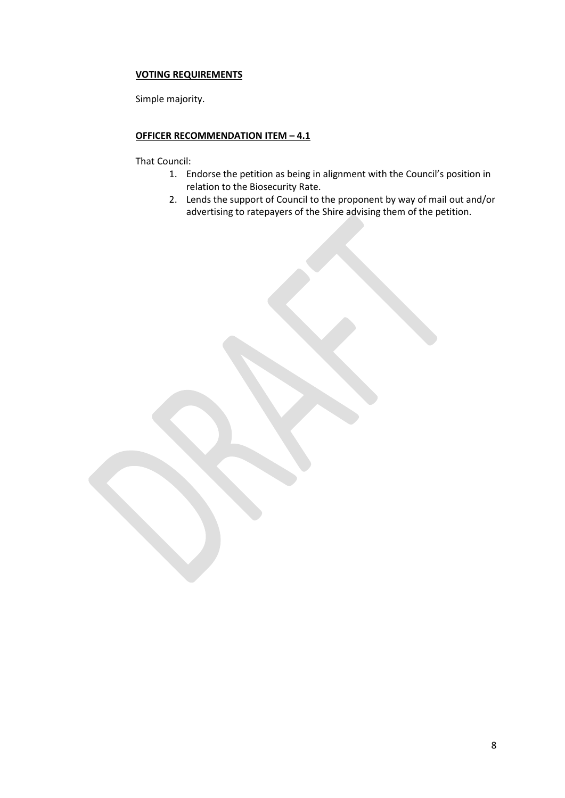## **VOTING REQUIREMENTS**

Simple majority.

# **OFFICER RECOMMENDATION ITEM – 4.1**

That Council:

- 1. Endorse the petition as being in alignment with the Council's position in relation to the Biosecurity Rate.
- 2. Lends the support of Council to the proponent by way of mail out and/or advertising to ratepayers of the Shire advising them of the petition.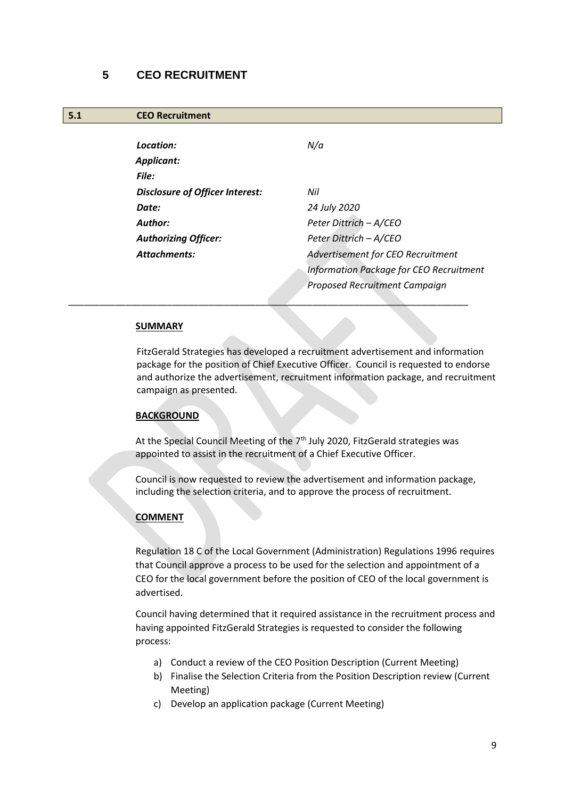# <span id="page-8-0"></span>**5 CEO RECRUITMENT**

#### <span id="page-8-1"></span>**5.1 CEO Recruitment**

| Location:                       | N/a                                     |
|---------------------------------|-----------------------------------------|
| Applicant:                      |                                         |
| File:                           |                                         |
| Disclosure of Officer Interest: | Nil                                     |
| Date:                           | 24 July 2020                            |
| Author:                         | Peter Dittrich - A/CEO                  |
| <b>Authorizing Officer:</b>     | Peter Dittrich - A/CEO                  |
| <b>Attachments:</b>             | Advertisement for CEO Recruitment       |
|                                 | Information Package for CEO Recruitment |
|                                 | Proposed Recruitment Campaign           |

#### **SUMMARY**

FitzGerald Strategies has developed a recruitment advertisement and information package for the position of Chief Executive Officer. Council is requested to endorse and authorize the advertisement, recruitment information package, and recruitment campaign as presented.

#### **BACKGROUND**

At the Special Council Meeting of the  $7<sup>th</sup>$  July 2020, FitzGerald strategies was appointed to assist in the recruitment of a Chief Executive Officer.

\_\_\_\_\_\_\_\_\_\_\_\_\_\_\_\_\_\_\_\_\_\_\_\_\_\_\_\_\_\_\_\_\_\_\_\_\_\_\_\_\_\_\_\_\_\_\_\_\_\_\_\_\_\_\_\_\_\_\_\_\_\_\_\_\_\_\_\_\_\_\_\_\_\_\_\_\_

Council is now requested to review the advertisement and information package, including the selection criteria, and to approve the process of recruitment.

## **COMMENT**

Regulation 18 C of the Local Government (Administration) Regulations 1996 requires that Council approve a process to be used for the selection and appointment of a CEO for the local government before the position of CEO of the local government is advertised.

Council having determined that it required assistance in the recruitment process and having appointed FitzGerald Strategies is requested to consider the following process:

- a) Conduct a review of the CEO Position Description (Current Meeting)
- b) Finalise the Selection Criteria from the Position Description review (Current Meeting)
- c) Develop an application package (Current Meeting)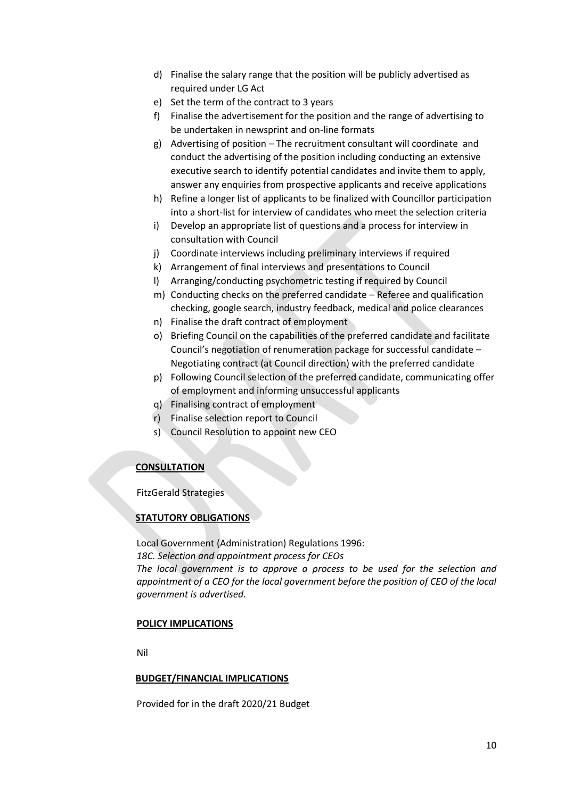- d) Finalise the salary range that the position will be publicly advertised as required under LG Act
- e) Set the term of the contract to 3 years
- f) Finalise the advertisement for the position and the range of advertising to be undertaken in newsprint and on-line formats
- g) Advertising of position The recruitment consultant will coordinate and conduct the advertising of the position including conducting an extensive executive search to identify potential candidates and invite them to apply, answer any enquiries from prospective applicants and receive applications
- h) Refine a longer list of applicants to be finalized with Councillor participation into a short-list for interview of candidates who meet the selection criteria
- i) Develop an appropriate list of questions and a process for interview in consultation with Council
- j) Coordinate interviews including preliminary interviews if required
- k) Arrangement of final interviews and presentations to Council
- l) Arranging/conducting psychometric testing if required by Council
- m) Conducting checks on the preferred candidate Referee and qualification checking, google search, industry feedback, medical and police clearances
- n) Finalise the draft contract of employment
- o) Briefing Council on the capabilities of the preferred candidate and facilitate Council's negotiation of renumeration package for successful candidate – Negotiating contract (at Council direction) with the preferred candidate
- p) Following Council selection of the preferred candidate, communicating offer of employment and informing unsuccessful applicants
- q) Finalising contract of employment
- r) Finalise selection report to Council
- s) Council Resolution to appoint new CEO

# **CONSULTATION**

FitzGerald Strategies

# **STATUTORY OBLIGATIONS**

Local Government (Administration) Regulations 1996: *18C. Selection and appointment process for CEOs The local government is to approve a process to be used for the selection and appointment of a CEO for the local government before the position of CEO of the local government is advertised.*

## **POLICY IMPLICATIONS**

Nil

## **BUDGET/FINANCIAL IMPLICATIONS**

Provided for in the draft 2020/21 Budget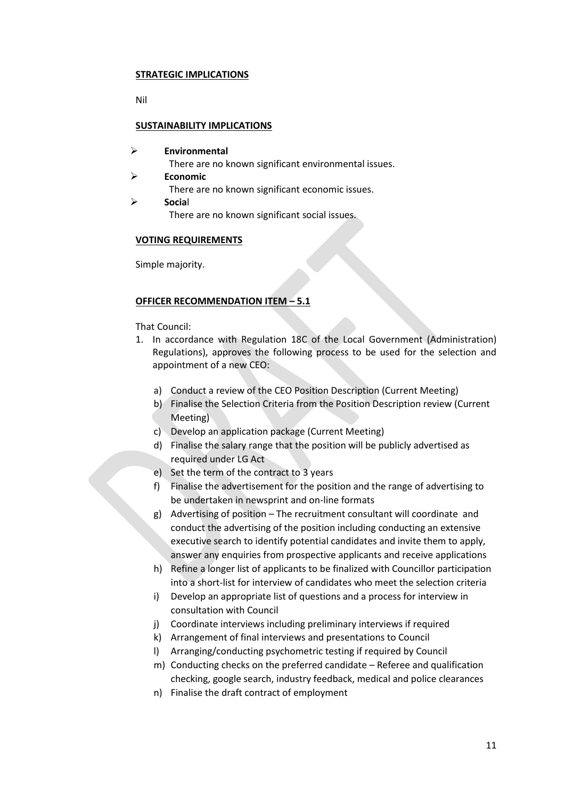#### **STRATEGIC IMPLICATIONS**

Nil

## **SUSTAINABILITY IMPLICATIONS**

- ➢ **Environmental**
	- There are no known significant environmental issues.
- ➢ **Economic**

There are no known significant economic issues.

➢ **Socia**l There are no known significant social issues.

#### **VOTING REQUIREMENTS**

Simple majority.

## **OFFICER RECOMMENDATION ITEM – 5.1**

That Council:

- 1. In accordance with Regulation 18C of the Local Government (Administration) Regulations), approves the following process to be used for the selection and appointment of a new CEO:
	- a) Conduct a review of the CEO Position Description (Current Meeting)
	- b) Finalise the Selection Criteria from the Position Description review (Current Meeting)
	- c) Develop an application package (Current Meeting)
	- d) Finalise the salary range that the position will be publicly advertised as required under LG Act
	- e) Set the term of the contract to 3 years
	- f) Finalise the advertisement for the position and the range of advertising to be undertaken in newsprint and on-line formats
	- g) Advertising of position The recruitment consultant will coordinate and conduct the advertising of the position including conducting an extensive executive search to identify potential candidates and invite them to apply, answer any enquiries from prospective applicants and receive applications
	- h) Refine a longer list of applicants to be finalized with Councillor participation into a short-list for interview of candidates who meet the selection criteria
	- i) Develop an appropriate list of questions and a process for interview in consultation with Council
	- j) Coordinate interviews including preliminary interviews if required
	- k) Arrangement of final interviews and presentations to Council
	- l) Arranging/conducting psychometric testing if required by Council
	- m) Conducting checks on the preferred candidate Referee and qualification checking, google search, industry feedback, medical and police clearances
	- n) Finalise the draft contract of employment